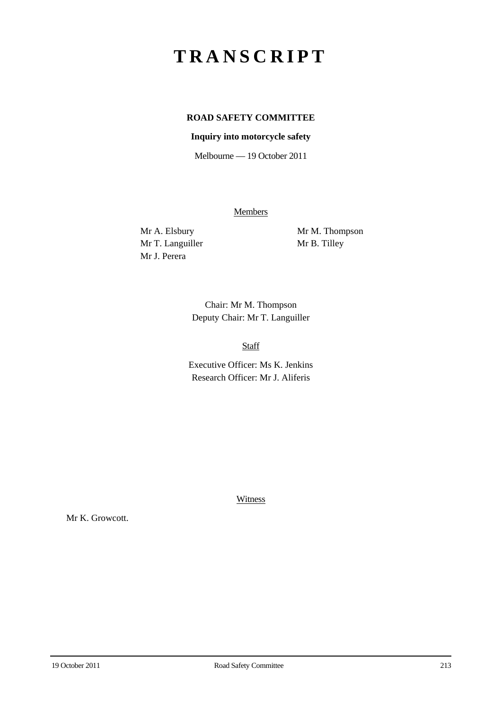## **TRANSCRIPT**

## **ROAD SAFETY COMMITTEE**

## **Inquiry into motorcycle safety**

Melbourne — 19 October 2011

**Members** 

Mr T. Languiller Mr B. Tilley Mr J. Perera

Mr A. Elsbury Mr M. Thompson

Chair: Mr M. Thompson Deputy Chair: Mr T. Languiller

Staff

Executive Officer: Ms K. Jenkins Research Officer: Mr J. Aliferis

**Witness** 

Mr K. Growcott.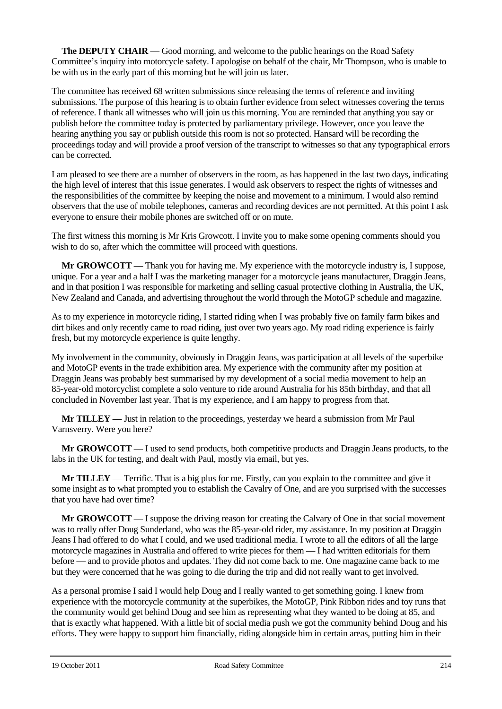**The DEPUTY CHAIR** — Good morning, and welcome to the public hearings on the Road Safety Committee's inquiry into motorcycle safety. I apologise on behalf of the chair, Mr Thompson, who is unable to be with us in the early part of this morning but he will join us later.

The committee has received 68 written submissions since releasing the terms of reference and inviting submissions. The purpose of this hearing is to obtain further evidence from select witnesses covering the terms of reference. I thank all witnesses who will join us this morning. You are reminded that anything you say or publish before the committee today is protected by parliamentary privilege. However, once you leave the hearing anything you say or publish outside this room is not so protected. Hansard will be recording the proceedings today and will provide a proof version of the transcript to witnesses so that any typographical errors can be corrected.

I am pleased to see there are a number of observers in the room, as has happened in the last two days, indicating the high level of interest that this issue generates. I would ask observers to respect the rights of witnesses and the responsibilities of the committee by keeping the noise and movement to a minimum. I would also remind observers that the use of mobile telephones, cameras and recording devices are not permitted. At this point I ask everyone to ensure their mobile phones are switched off or on mute.

The first witness this morning is Mr Kris Growcott. I invite you to make some opening comments should you wish to do so, after which the committee will proceed with questions.

**Mr GROWCOTT** — Thank you for having me. My experience with the motorcycle industry is, I suppose, unique. For a year and a half I was the marketing manager for a motorcycle jeans manufacturer, Draggin Jeans, and in that position I was responsible for marketing and selling casual protective clothing in Australia, the UK, New Zealand and Canada, and advertising throughout the world through the MotoGP schedule and magazine.

As to my experience in motorcycle riding, I started riding when I was probably five on family farm bikes and dirt bikes and only recently came to road riding, just over two years ago. My road riding experience is fairly fresh, but my motorcycle experience is quite lengthy.

My involvement in the community, obviously in Draggin Jeans, was participation at all levels of the superbike and MotoGP events in the trade exhibition area. My experience with the community after my position at Draggin Jeans was probably best summarised by my development of a social media movement to help an 85-year-old motorcyclist complete a solo venture to ride around Australia for his 85th birthday, and that all concluded in November last year. That is my experience, and I am happy to progress from that.

**Mr TILLEY** — Just in relation to the proceedings, yesterday we heard a submission from Mr Paul Varnsverry. Were you here?

**Mr GROWCOTT** — I used to send products, both competitive products and Draggin Jeans products, to the labs in the UK for testing, and dealt with Paul, mostly via email, but yes.

**Mr TILLEY** — Terrific. That is a big plus for me. Firstly, can you explain to the committee and give it some insight as to what prompted you to establish the Cavalry of One, and are you surprised with the successes that you have had over time?

**Mr GROWCOTT** — I suppose the driving reason for creating the Calvary of One in that social movement was to really offer Doug Sunderland, who was the 85-year-old rider, my assistance. In my position at Draggin Jeans I had offered to do what I could, and we used traditional media. I wrote to all the editors of all the large motorcycle magazines in Australia and offered to write pieces for them — I had written editorials for them before — and to provide photos and updates. They did not come back to me. One magazine came back to me but they were concerned that he was going to die during the trip and did not really want to get involved.

As a personal promise I said I would help Doug and I really wanted to get something going. I knew from experience with the motorcycle community at the superbikes, the MotoGP, Pink Ribbon rides and toy runs that the community would get behind Doug and see him as representing what they wanted to be doing at 85, and that is exactly what happened. With a little bit of social media push we got the community behind Doug and his efforts. They were happy to support him financially, riding alongside him in certain areas, putting him in their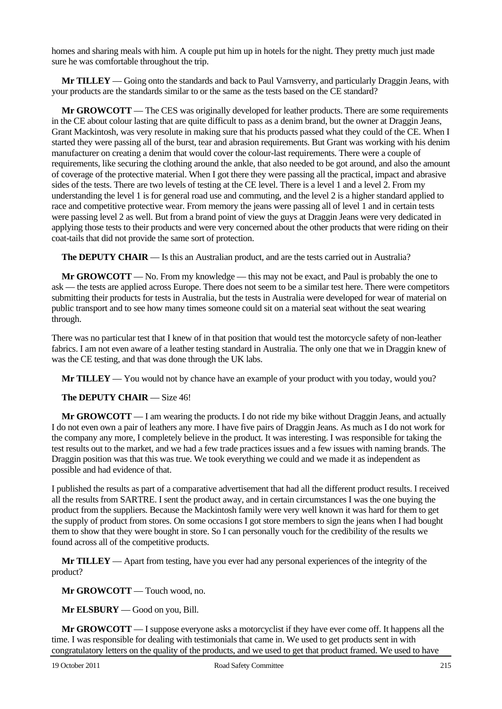homes and sharing meals with him. A couple put him up in hotels for the night. They pretty much just made sure he was comfortable throughout the trip.

**Mr TILLEY** — Going onto the standards and back to Paul Varnsverry, and particularly Draggin Jeans, with your products are the standards similar to or the same as the tests based on the CE standard?

**Mr GROWCOTT** — The CES was originally developed for leather products. There are some requirements in the CE about colour lasting that are quite difficult to pass as a denim brand, but the owner at Draggin Jeans, Grant Mackintosh, was very resolute in making sure that his products passed what they could of the CE. When I started they were passing all of the burst, tear and abrasion requirements. But Grant was working with his denim manufacturer on creating a denim that would cover the colour-last requirements. There were a couple of requirements, like securing the clothing around the ankle, that also needed to be got around, and also the amount of coverage of the protective material. When I got there they were passing all the practical, impact and abrasive sides of the tests. There are two levels of testing at the CE level. There is a level 1 and a level 2. From my understanding the level 1 is for general road use and commuting, and the level 2 is a higher standard applied to race and competitive protective wear. From memory the jeans were passing all of level 1 and in certain tests were passing level 2 as well. But from a brand point of view the guys at Draggin Jeans were very dedicated in applying those tests to their products and were very concerned about the other products that were riding on their coat-tails that did not provide the same sort of protection.

**The DEPUTY CHAIR** — Is this an Australian product, and are the tests carried out in Australia?

**Mr GROWCOTT** — No. From my knowledge — this may not be exact, and Paul is probably the one to ask — the tests are applied across Europe. There does not seem to be a similar test here. There were competitors submitting their products for tests in Australia, but the tests in Australia were developed for wear of material on public transport and to see how many times someone could sit on a material seat without the seat wearing through.

There was no particular test that I knew of in that position that would test the motorcycle safety of non-leather fabrics. I am not even aware of a leather testing standard in Australia. The only one that we in Draggin knew of was the CE testing, and that was done through the UK labs.

**Mr TILLEY** — You would not by chance have an example of your product with you today, would you?

**The DEPUTY CHAIR** — Size 46!

**Mr GROWCOTT** — I am wearing the products. I do not ride my bike without Draggin Jeans, and actually I do not even own a pair of leathers any more. I have five pairs of Draggin Jeans. As much as I do not work for the company any more, I completely believe in the product. It was interesting. I was responsible for taking the test results out to the market, and we had a few trade practices issues and a few issues with naming brands. The Draggin position was that this was true. We took everything we could and we made it as independent as possible and had evidence of that.

I published the results as part of a comparative advertisement that had all the different product results. I received all the results from SARTRE. I sent the product away, and in certain circumstances I was the one buying the product from the suppliers. Because the Mackintosh family were very well known it was hard for them to get the supply of product from stores. On some occasions I got store members to sign the jeans when I had bought them to show that they were bought in store. So I can personally vouch for the credibility of the results we found across all of the competitive products.

**Mr TILLEY** — Apart from testing, have you ever had any personal experiences of the integrity of the product?

**Mr GROWCOTT** — Touch wood, no.

**Mr ELSBURY** — Good on you, Bill.

**Mr GROWCOTT** — I suppose everyone asks a motorcyclist if they have ever come off. It happens all the time. I was responsible for dealing with testimonials that came in. We used to get products sent in with congratulatory letters on the quality of the products, and we used to get that product framed. We used to have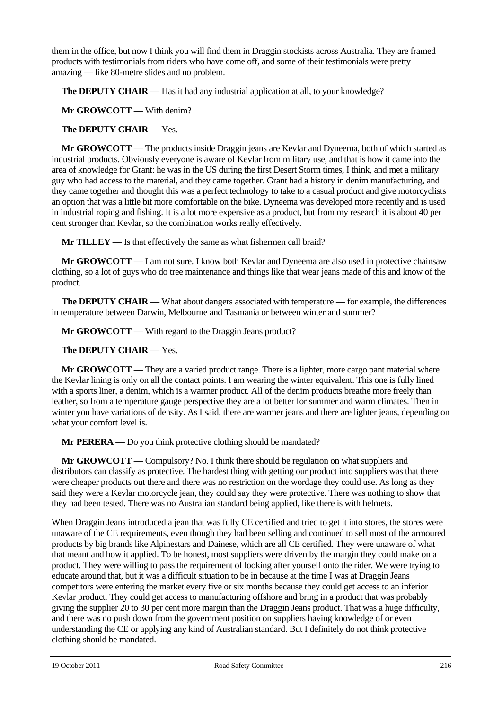them in the office, but now I think you will find them in Draggin stockists across Australia. They are framed products with testimonials from riders who have come off, and some of their testimonials were pretty amazing — like 80-metre slides and no problem.

**The DEPUTY CHAIR** — Has it had any industrial application at all, to your knowledge?

**Mr GROWCOTT** — With denim?

**The DEPUTY CHAIR** — Yes.

**Mr GROWCOTT** — The products inside Draggin jeans are Kevlar and Dyneema, both of which started as industrial products. Obviously everyone is aware of Kevlar from military use, and that is how it came into the area of knowledge for Grant: he was in the US during the first Desert Storm times, I think, and met a military guy who had access to the material, and they came together. Grant had a history in denim manufacturing, and they came together and thought this was a perfect technology to take to a casual product and give motorcyclists an option that was a little bit more comfortable on the bike. Dyneema was developed more recently and is used in industrial roping and fishing. It is a lot more expensive as a product, but from my research it is about 40 per cent stronger than Kevlar, so the combination works really effectively.

**Mr TILLEY** — Is that effectively the same as what fishermen call braid?

**Mr GROWCOTT** — I am not sure. I know both Kevlar and Dyneema are also used in protective chainsaw clothing, so a lot of guys who do tree maintenance and things like that wear jeans made of this and know of the product.

**The DEPUTY CHAIR** — What about dangers associated with temperature — for example, the differences in temperature between Darwin, Melbourne and Tasmania or between winter and summer?

**Mr GROWCOTT** — With regard to the Draggin Jeans product?

## **The DEPUTY CHAIR** — Yes.

**Mr GROWCOTT** — They are a varied product range. There is a lighter, more cargo pant material where the Kevlar lining is only on all the contact points. I am wearing the winter equivalent. This one is fully lined with a sports liner, a denim, which is a warmer product. All of the denim products breathe more freely than leather, so from a temperature gauge perspective they are a lot better for summer and warm climates. Then in winter you have variations of density. As I said, there are warmer jeans and there are lighter jeans, depending on what your comfort level is.

**Mr PERERA** — Do you think protective clothing should be mandated?

**Mr GROWCOTT** — Compulsory? No. I think there should be regulation on what suppliers and distributors can classify as protective. The hardest thing with getting our product into suppliers was that there were cheaper products out there and there was no restriction on the wordage they could use. As long as they said they were a Kevlar motorcycle jean, they could say they were protective. There was nothing to show that they had been tested. There was no Australian standard being applied, like there is with helmets.

When Draggin Jeans introduced a jean that was fully CE certified and tried to get it into stores, the stores were unaware of the CE requirements, even though they had been selling and continued to sell most of the armoured products by big brands like Alpinestars and Dainese, which are all CE certified. They were unaware of what that meant and how it applied. To be honest, most suppliers were driven by the margin they could make on a product. They were willing to pass the requirement of looking after yourself onto the rider. We were trying to educate around that, but it was a difficult situation to be in because at the time I was at Draggin Jeans competitors were entering the market every five or six months because they could get access to an inferior Kevlar product. They could get access to manufacturing offshore and bring in a product that was probably giving the supplier 20 to 30 per cent more margin than the Draggin Jeans product. That was a huge difficulty, and there was no push down from the government position on suppliers having knowledge of or even understanding the CE or applying any kind of Australian standard. But I definitely do not think protective clothing should be mandated.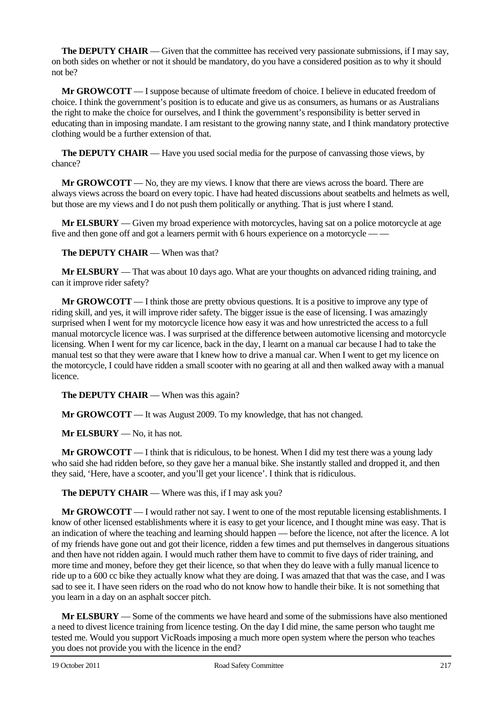**The DEPUTY CHAIR** — Given that the committee has received very passionate submissions, if I may say, on both sides on whether or not it should be mandatory, do you have a considered position as to why it should not be?

**Mr GROWCOTT** — I suppose because of ultimate freedom of choice. I believe in educated freedom of choice. I think the government's position is to educate and give us as consumers, as humans or as Australians the right to make the choice for ourselves, and I think the government's responsibility is better served in educating than in imposing mandate. I am resistant to the growing nanny state, and I think mandatory protective clothing would be a further extension of that.

**The DEPUTY CHAIR** — Have you used social media for the purpose of canvassing those views, by chance?

**Mr GROWCOTT** — No, they are my views. I know that there are views across the board. There are always views across the board on every topic. I have had heated discussions about seatbelts and helmets as well, but those are my views and I do not push them politically or anything. That is just where I stand.

**Mr ELSBURY** — Given my broad experience with motorcycles, having sat on a police motorcycle at age five and then gone off and got a learners permit with 6 hours experience on a motorcycle –

**The DEPUTY CHAIR** — When was that?

**Mr ELSBURY** — That was about 10 days ago. What are your thoughts on advanced riding training, and can it improve rider safety?

**Mr GROWCOTT** — I think those are pretty obvious questions. It is a positive to improve any type of riding skill, and yes, it will improve rider safety. The bigger issue is the ease of licensing. I was amazingly surprised when I went for my motorcycle licence how easy it was and how unrestricted the access to a full manual motorcycle licence was. I was surprised at the difference between automotive licensing and motorcycle licensing. When I went for my car licence, back in the day, I learnt on a manual car because I had to take the manual test so that they were aware that I knew how to drive a manual car. When I went to get my licence on the motorcycle, I could have ridden a small scooter with no gearing at all and then walked away with a manual licence.

**The DEPUTY CHAIR** — When was this again?

**Mr GROWCOTT** — It was August 2009. To my knowledge, that has not changed.

**Mr ELSBURY** — No, it has not.

**Mr GROWCOTT** — I think that is ridiculous, to be honest. When I did my test there was a young lady who said she had ridden before, so they gave her a manual bike. She instantly stalled and dropped it, and then they said, 'Here, have a scooter, and you'll get your licence'. I think that is ridiculous.

**The DEPUTY CHAIR** — Where was this, if I may ask you?

**Mr GROWCOTT** — I would rather not say. I went to one of the most reputable licensing establishments. I know of other licensed establishments where it is easy to get your licence, and I thought mine was easy. That is an indication of where the teaching and learning should happen — before the licence, not after the licence. A lot of my friends have gone out and got their licence, ridden a few times and put themselves in dangerous situations and then have not ridden again. I would much rather them have to commit to five days of rider training, and more time and money, before they get their licence, so that when they do leave with a fully manual licence to ride up to a 600 cc bike they actually know what they are doing. I was amazed that that was the case, and I was sad to see it. I have seen riders on the road who do not know how to handle their bike. It is not something that you learn in a day on an asphalt soccer pitch.

**Mr ELSBURY** — Some of the comments we have heard and some of the submissions have also mentioned a need to divest licence training from licence testing. On the day I did mine, the same person who taught me tested me. Would you support VicRoads imposing a much more open system where the person who teaches you does not provide you with the licence in the end?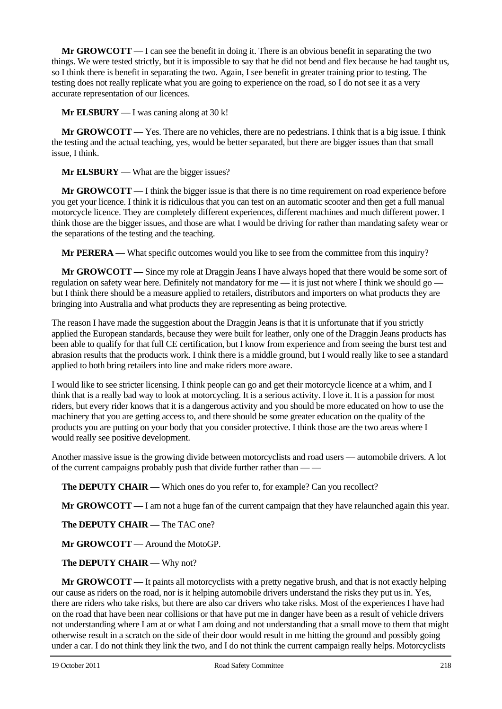**Mr GROWCOTT** — I can see the benefit in doing it. There is an obvious benefit in separating the two things. We were tested strictly, but it is impossible to say that he did not bend and flex because he had taught us, so I think there is benefit in separating the two. Again, I see benefit in greater training prior to testing. The testing does not really replicate what you are going to experience on the road, so I do not see it as a very accurate representation of our licences.

**Mr ELSBURY** — I was caning along at 30 k!

**Mr GROWCOTT** — Yes. There are no vehicles, there are no pedestrians. I think that is a big issue. I think the testing and the actual teaching, yes, would be better separated, but there are bigger issues than that small issue, I think.

**Mr ELSBURY** — What are the bigger issues?

**Mr GROWCOTT** — I think the bigger issue is that there is no time requirement on road experience before you get your licence. I think it is ridiculous that you can test on an automatic scooter and then get a full manual motorcycle licence. They are completely different experiences, different machines and much different power. I think those are the bigger issues, and those are what I would be driving for rather than mandating safety wear or the separations of the testing and the teaching.

**Mr PERERA** — What specific outcomes would you like to see from the committee from this inquiry?

**Mr GROWCOTT** — Since my role at Draggin Jeans I have always hoped that there would be some sort of regulation on safety wear here. Definitely not mandatory for me — it is just not where I think we should go but I think there should be a measure applied to retailers, distributors and importers on what products they are bringing into Australia and what products they are representing as being protective.

The reason I have made the suggestion about the Draggin Jeans is that it is unfortunate that if you strictly applied the European standards, because they were built for leather, only one of the Draggin Jeans products has been able to qualify for that full CE certification, but I know from experience and from seeing the burst test and abrasion results that the products work. I think there is a middle ground, but I would really like to see a standard applied to both bring retailers into line and make riders more aware.

I would like to see stricter licensing. I think people can go and get their motorcycle licence at a whim, and I think that is a really bad way to look at motorcycling. It is a serious activity. I love it. It is a passion for most riders, but every rider knows that it is a dangerous activity and you should be more educated on how to use the machinery that you are getting access to, and there should be some greater education on the quality of the products you are putting on your body that you consider protective. I think those are the two areas where I would really see positive development.

Another massive issue is the growing divide between motorcyclists and road users — automobile drivers. A lot of the current campaigns probably push that divide further rather than — —

**The DEPUTY CHAIR** — Which ones do you refer to, for example? Can you recollect?

**Mr GROWCOTT** — I am not a huge fan of the current campaign that they have relaunched again this year.

**The DEPUTY CHAIR** — The TAC one?

**Mr GROWCOTT** — Around the MotoGP.

**The DEPUTY CHAIR** — Why not?

**Mr GROWCOTT** — It paints all motorcyclists with a pretty negative brush, and that is not exactly helping our cause as riders on the road, nor is it helping automobile drivers understand the risks they put us in. Yes, there are riders who take risks, but there are also car drivers who take risks. Most of the experiences I have had on the road that have been near collisions or that have put me in danger have been as a result of vehicle drivers not understanding where I am at or what I am doing and not understanding that a small move to them that might otherwise result in a scratch on the side of their door would result in me hitting the ground and possibly going under a car. I do not think they link the two, and I do not think the current campaign really helps. Motorcyclists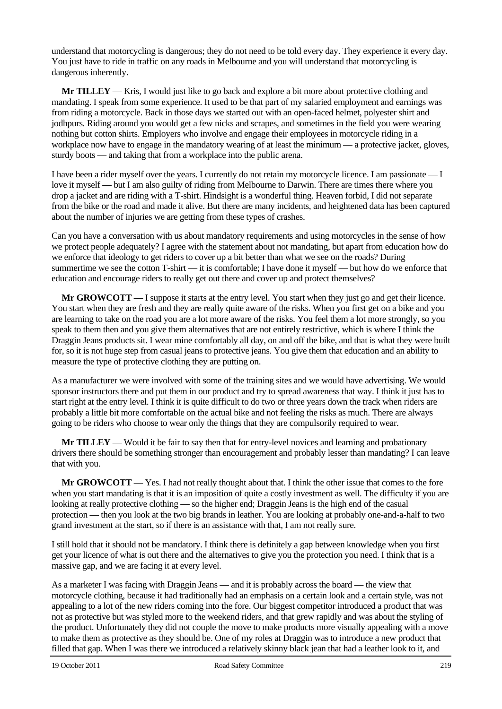understand that motorcycling is dangerous; they do not need to be told every day. They experience it every day. You just have to ride in traffic on any roads in Melbourne and you will understand that motorcycling is dangerous inherently.

**Mr TILLEY** — Kris, I would just like to go back and explore a bit more about protective clothing and mandating. I speak from some experience. It used to be that part of my salaried employment and earnings was from riding a motorcycle. Back in those days we started out with an open-faced helmet, polyester shirt and jodhpurs. Riding around you would get a few nicks and scrapes, and sometimes in the field you were wearing nothing but cotton shirts. Employers who involve and engage their employees in motorcycle riding in a workplace now have to engage in the mandatory wearing of at least the minimum — a protective jacket, gloves, sturdy boots — and taking that from a workplace into the public arena.

I have been a rider myself over the years. I currently do not retain my motorcycle licence. I am passionate — I love it myself — but I am also guilty of riding from Melbourne to Darwin. There are times there where you drop a jacket and are riding with a T-shirt. Hindsight is a wonderful thing. Heaven forbid, I did not separate from the bike or the road and made it alive. But there are many incidents, and heightened data has been captured about the number of injuries we are getting from these types of crashes.

Can you have a conversation with us about mandatory requirements and using motorcycles in the sense of how we protect people adequately? I agree with the statement about not mandating, but apart from education how do we enforce that ideology to get riders to cover up a bit better than what we see on the roads? During summertime we see the cotton T-shirt — it is comfortable; I have done it myself — but how do we enforce that education and encourage riders to really get out there and cover up and protect themselves?

**Mr GROWCOTT** — I suppose it starts at the entry level. You start when they just go and get their licence. You start when they are fresh and they are really quite aware of the risks. When you first get on a bike and you are learning to take on the road you are a lot more aware of the risks. You feel them a lot more strongly, so you speak to them then and you give them alternatives that are not entirely restrictive, which is where I think the Draggin Jeans products sit. I wear mine comfortably all day, on and off the bike, and that is what they were built for, so it is not huge step from casual jeans to protective jeans. You give them that education and an ability to measure the type of protective clothing they are putting on.

As a manufacturer we were involved with some of the training sites and we would have advertising. We would sponsor instructors there and put them in our product and try to spread awareness that way. I think it just has to start right at the entry level. I think it is quite difficult to do two or three years down the track when riders are probably a little bit more comfortable on the actual bike and not feeling the risks as much. There are always going to be riders who choose to wear only the things that they are compulsorily required to wear.

**Mr TILLEY** — Would it be fair to say then that for entry-level novices and learning and probationary drivers there should be something stronger than encouragement and probably lesser than mandating? I can leave that with you.

**Mr GROWCOTT** — Yes. I had not really thought about that. I think the other issue that comes to the fore when you start mandating is that it is an imposition of quite a costly investment as well. The difficulty if you are looking at really protective clothing — so the higher end; Draggin Jeans is the high end of the casual protection — then you look at the two big brands in leather. You are looking at probably one-and-a-half to two grand investment at the start, so if there is an assistance with that, I am not really sure.

I still hold that it should not be mandatory. I think there is definitely a gap between knowledge when you first get your licence of what is out there and the alternatives to give you the protection you need. I think that is a massive gap, and we are facing it at every level.

As a marketer I was facing with Draggin Jeans — and it is probably across the board — the view that motorcycle clothing, because it had traditionally had an emphasis on a certain look and a certain style, was not appealing to a lot of the new riders coming into the fore. Our biggest competitor introduced a product that was not as protective but was styled more to the weekend riders, and that grew rapidly and was about the styling of the product. Unfortunately they did not couple the move to make products more visually appealing with a move to make them as protective as they should be. One of my roles at Draggin was to introduce a new product that filled that gap. When I was there we introduced a relatively skinny black jean that had a leather look to it, and